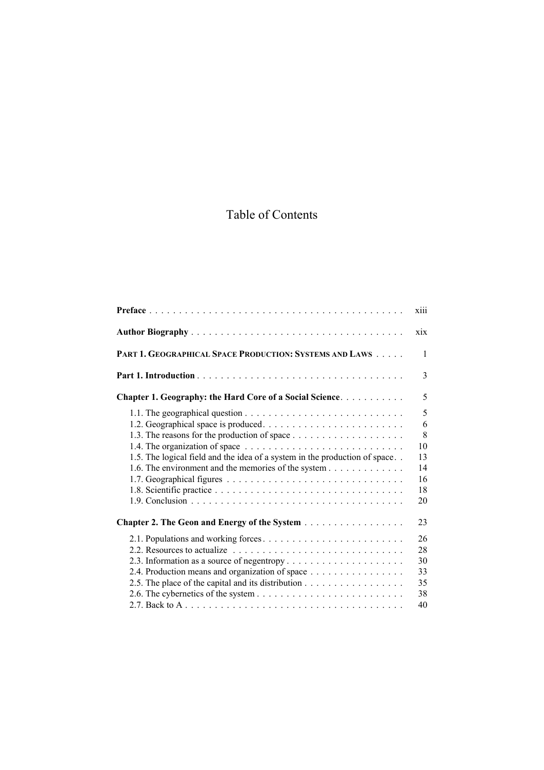## Table of Contents

|                                                                                                                                   | <b>X111</b>                                     |
|-----------------------------------------------------------------------------------------------------------------------------------|-------------------------------------------------|
|                                                                                                                                   | xix                                             |
| PART 1. GEOGRAPHICAL SPACE PRODUCTION: SYSTEMS AND LAWS                                                                           | $\mathbf{1}$                                    |
|                                                                                                                                   | 3                                               |
| Chapter 1. Geography: the Hard Core of a Social Science.                                                                          | 5                                               |
| 1.5. The logical field and the idea of a system in the production of space<br>1.6. The environment and the memories of the system | 5<br>6<br>8<br>10<br>13<br>14<br>16<br>18<br>20 |
| Chapter 2. The Geon and Energy of the System                                                                                      | 23                                              |
| 2.4. Production means and organization of space<br>2.5. The place of the capital and its distribution                             | 26<br>28<br>30<br>33<br>35<br>38<br>40          |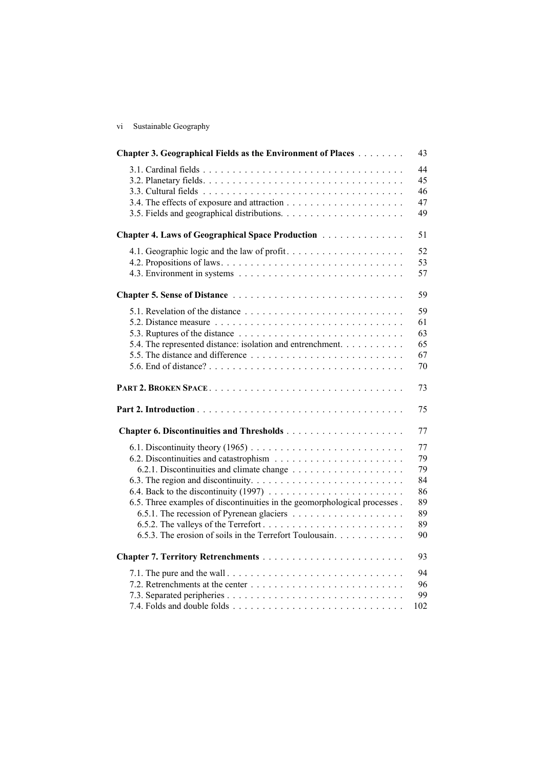vi Sustainable Geography

| Chapter 3. Geographical Fields as the Environment of Places                                                                           | 43                                                 |
|---------------------------------------------------------------------------------------------------------------------------------------|----------------------------------------------------|
|                                                                                                                                       | 44<br>45<br>46<br>47<br>49                         |
| Chapter 4. Laws of Geographical Space Production                                                                                      | 51                                                 |
|                                                                                                                                       | 52<br>53<br>57                                     |
|                                                                                                                                       | 59                                                 |
| 5.4. The represented distance: isolation and entrenchment.                                                                            | 59<br>61<br>63<br>65<br>67<br>$70\,$               |
|                                                                                                                                       | 73                                                 |
|                                                                                                                                       | 75                                                 |
|                                                                                                                                       | 77                                                 |
| 6.5. Three examples of discontinuities in the geomorphological processes.<br>6.5.3. The erosion of soils in the Terrefort Toulousain. | 77<br>79<br>79<br>84<br>86<br>89<br>89<br>89<br>90 |
|                                                                                                                                       | 93                                                 |
|                                                                                                                                       | 94<br>96<br>99<br>102                              |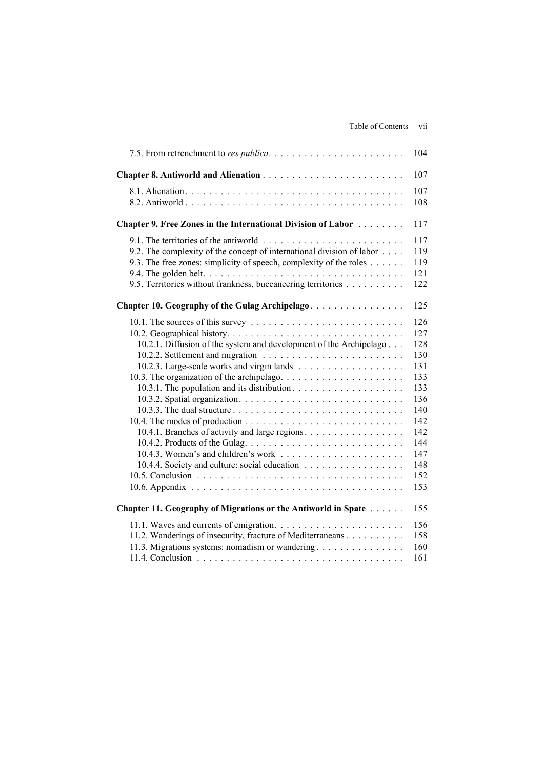|                                                                                                                                                                                                                                                                 | 104                                                                                                          |
|-----------------------------------------------------------------------------------------------------------------------------------------------------------------------------------------------------------------------------------------------------------------|--------------------------------------------------------------------------------------------------------------|
|                                                                                                                                                                                                                                                                 | 107                                                                                                          |
|                                                                                                                                                                                                                                                                 | 107<br>108                                                                                                   |
| <b>Chapter 9. Free Zones in the International Division of Labor Actual</b>                                                                                                                                                                                      | 117                                                                                                          |
| 9.2. The complexity of the concept of international division of labor<br>9.3. The free zones: simplicity of speech, complexity of the roles<br>9.5. Territories without frankness, buccaneering territories                                                     | 117<br>119<br>119<br>121<br>122                                                                              |
| Chapter 10. Geography of the Gulag Archipelago                                                                                                                                                                                                                  | 125                                                                                                          |
| 10.2.1. Diffusion of the system and development of the Archipelago<br>10.4.1. Branches of activity and large regions.<br>10.4.3. Women's and children's work $\dots \dots \dots \dots \dots \dots \dots \dots$<br>10.4.4. Society and culture: social education | 126<br>127<br>128<br>130<br>131<br>133<br>133<br>136<br>140<br>142<br>142<br>144<br>147<br>148<br>152<br>153 |
| Chapter 11. Geography of Migrations or the Antiworld in Spate                                                                                                                                                                                                   | 155                                                                                                          |
| 11.2. Wanderings of insecurity, fracture of Mediterraneans<br>11.3. Migrations systems: nomadism or wandering                                                                                                                                                   | 156<br>158<br>160<br>161                                                                                     |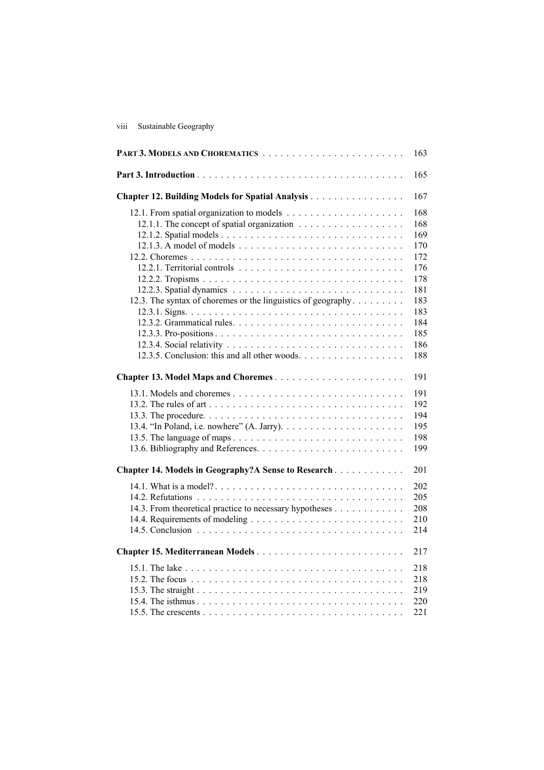viii Sustainable Geography

|                                                              | 163                                                         |
|--------------------------------------------------------------|-------------------------------------------------------------|
|                                                              | 165                                                         |
| Chapter 12. Building Models for Spatial Analysis             | 167                                                         |
| 12.3. The syntax of choremes or the linguistics of geography | 168<br>168<br>169<br>170<br>172<br>176<br>178<br>181<br>183 |
| 12.3.5. Conclusion: this and all other woods.                | 183<br>184<br>185<br>186<br>188                             |
| Chapter 13. Model Maps and Choremes                          | 191                                                         |
|                                                              | 191<br>192<br>194<br>195<br>198<br>199                      |
| Chapter 14. Models in Geography?A Sense to Research          | 201                                                         |
| 14.3. From theoretical practice to necessary hypotheses      | 202<br>205<br>208<br>210<br>214                             |
| Chapter 15. Mediterranean Models                             | 217                                                         |
|                                                              | 218<br>218<br>219<br>220<br>221                             |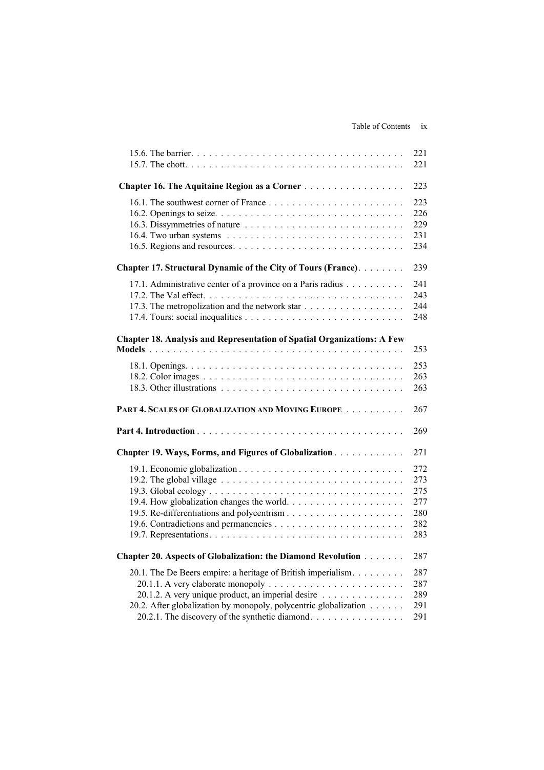## Table of Contents ix

|                                                                                                                                                                                                                                           | 221<br>221                                    |
|-------------------------------------------------------------------------------------------------------------------------------------------------------------------------------------------------------------------------------------------|-----------------------------------------------|
| Chapter 16. The Aquitaine Region as a Corner                                                                                                                                                                                              | 223                                           |
|                                                                                                                                                                                                                                           | 223<br>226<br>229<br>231<br>234               |
| Chapter 17. Structural Dynamic of the City of Tours (France).                                                                                                                                                                             | 239                                           |
| 17.1. Administrative center of a province on a Paris radius<br>17.3. The metropolization and the network star                                                                                                                             | 241<br>243<br>244<br>248                      |
| <b>Chapter 18. Analysis and Representation of Spatial Organizations: A Few</b>                                                                                                                                                            | 253                                           |
|                                                                                                                                                                                                                                           | 253<br>263<br>263                             |
| PART 4. SCALES OF GLOBALIZATION AND MOVING EUROPE                                                                                                                                                                                         | 267                                           |
|                                                                                                                                                                                                                                           | 269                                           |
| Chapter 19. Ways, Forms, and Figures of Globalization                                                                                                                                                                                     | 271                                           |
|                                                                                                                                                                                                                                           | 272<br>273<br>275<br>277<br>280<br>282<br>283 |
| Chapter 20. Aspects of Globalization: the Diamond Revolution                                                                                                                                                                              | 287                                           |
| 20.1. The De Beers empire: a heritage of British imperialism.<br>20.1.2. A very unique product, an imperial desire<br>20.2. After globalization by monopoly, polycentric globalization<br>20.2.1. The discovery of the synthetic diamond. | 287<br>287<br>289<br>291<br>291               |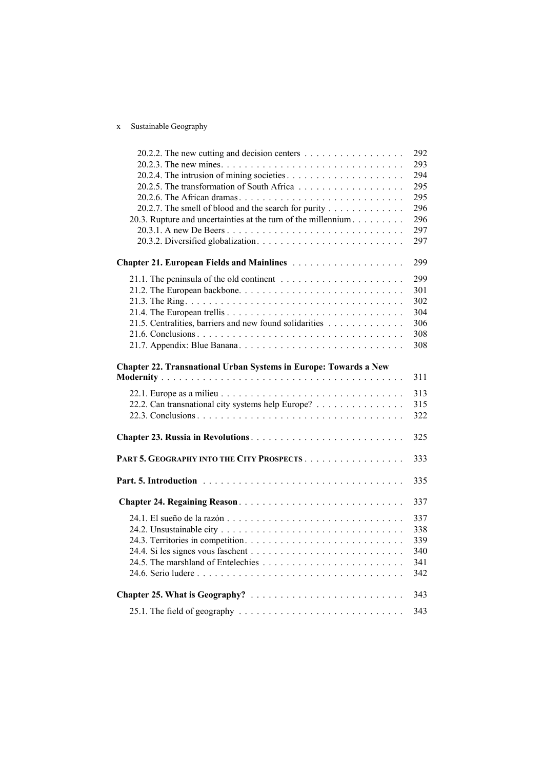## x Sustainable Geography

| 20.2.2. The new cutting and decision centers                     | 292 |
|------------------------------------------------------------------|-----|
|                                                                  | 293 |
|                                                                  | 294 |
|                                                                  | 295 |
|                                                                  | 295 |
| 20.2.7. The smell of blood and the search for purity             | 296 |
| 20.3. Rupture and uncertainties at the turn of the millennium    | 296 |
|                                                                  | 297 |
|                                                                  | 297 |
| Chapter 21. European Fields and Mainlines                        | 299 |
|                                                                  | 299 |
|                                                                  | 301 |
|                                                                  | 302 |
|                                                                  | 304 |
| 21.5. Centralities, barriers and new found solidarities          | 306 |
|                                                                  | 308 |
|                                                                  | 308 |
| Chapter 22. Transnational Urban Systems in Europe: Towards a New |     |
|                                                                  | 311 |
|                                                                  | 313 |
| 22.2. Can transnational city systems help Europe?                | 315 |
|                                                                  | 322 |
|                                                                  | 325 |
| PART 5. GEOGRAPHY INTO THE CITY PROSPECTS                        | 333 |
|                                                                  | 335 |
|                                                                  |     |
|                                                                  | 337 |
|                                                                  | 337 |
|                                                                  | 338 |
|                                                                  | 339 |
|                                                                  | 340 |
|                                                                  | 341 |
|                                                                  | 342 |
|                                                                  | 343 |
|                                                                  | 343 |
|                                                                  |     |